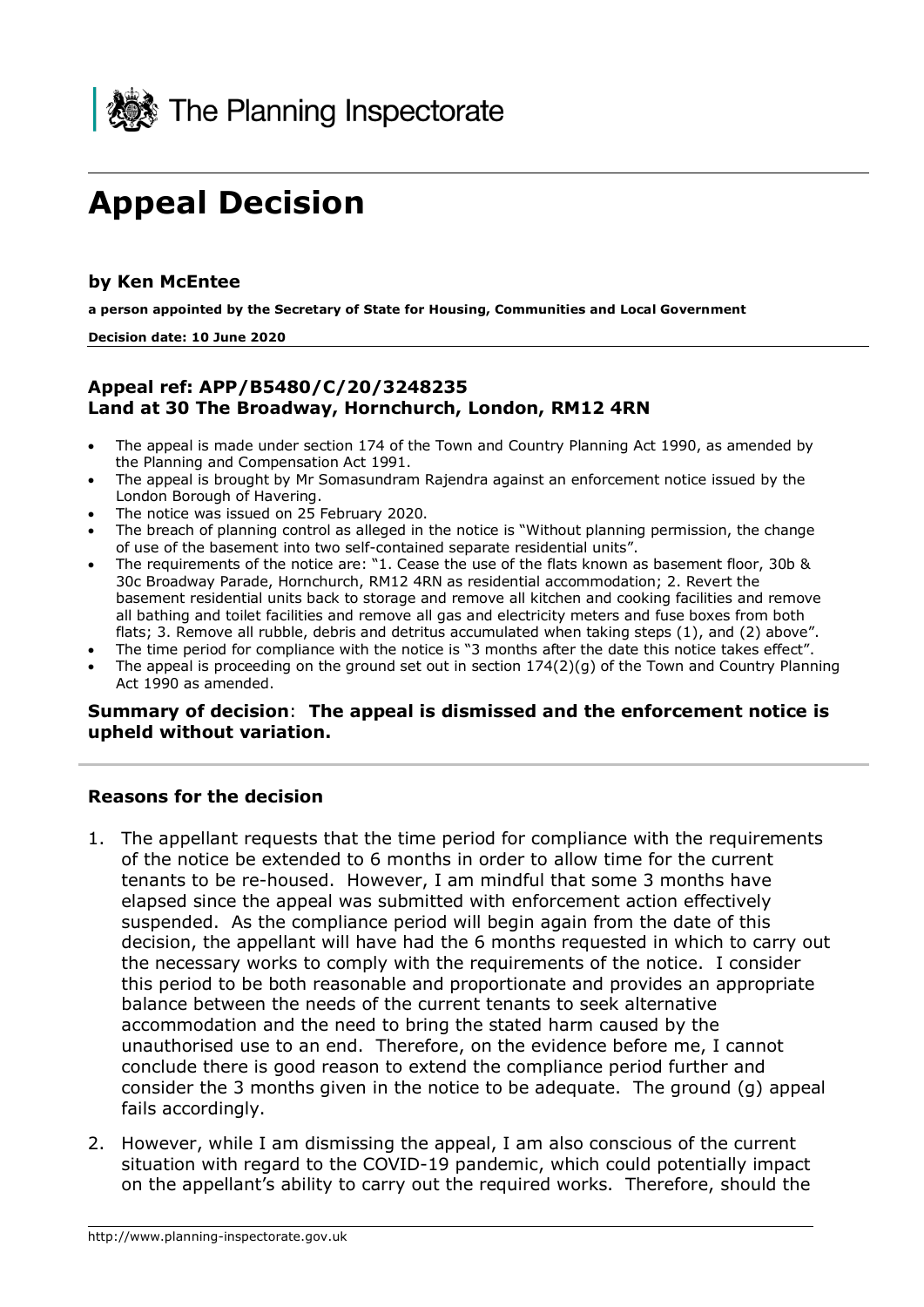

# **Appeal Decision**

#### **by Ken McEntee**

 **a person appointed by the Secretary of State for Housing, Communities and Local Government** 

#### **Decision date: 10 June 2020**

### **Appeal ref: APP/B5480/C/20/3248235 Land at 30 The Broadway, Hornchurch, London, RM12 4RN**

- • The appeal is made under section 174 of the Town and Country Planning Act 1990, as amended by the Planning and Compensation Act 1991.
- The appeal is brought by Mr Somasundram Rajendra against an enforcement notice issued by the London Borough of Havering.
- The notice was issued on 25 February 2020.
- • The breach of planning control as alleged in the notice is "Without planning permission, the change of use of the basement into two self-contained separate residential units".
- The requirements of the notice are: "1. Cease the use of the flats known as basement floor, 30b & 30c Broadway Parade, Hornchurch, RM12 4RN as residential accommodation; 2. Revert the basement residential units back to storage and remove all kitchen and cooking facilities and remove all bathing and toilet facilities and remove all gas and electricity meters and fuse boxes from both flats; 3. Remove all rubble, debris and detritus accumulated when taking steps (1), and (2) above".
- The time period for compliance with the notice is "3 months after the date this notice takes effect".
- • The appeal is proceeding on the ground set out in section 174(2)(g) of the Town and Country Planning Act 1990 as amended.

# **Summary of decision**: **The appeal is dismissed and the enforcement notice is**

# upheld without variation.<br>————————————————————<br>Reasons for the decision **Reasons for the decision**

- 1. The appellant requests that the time period for compliance with the requirements of the notice be extended to 6 months in order to allow time for the current tenants to be re-housed. However, I am mindful that some 3 months have elapsed since the appeal was submitted with enforcement action effectively suspended. As the compliance period will begin again from the date of this decision, the appellant will have had the 6 months requested in which to carry out the necessary works to comply with the requirements of the notice. I consider this period to be both reasonable and proportionate and provides an appropriate accommodation and the need to bring the stated harm caused by the unauthorised use to an end. Therefore, on the evidence before me, I cannot conclude there is good reason to extend the compliance period further and consider the 3 months given in the notice to be adequate. The ground (g) appeal fails accordingly. balance between the needs of the current tenants to seek alternative
- 2. However, while I am dismissing the appeal, I am also conscious of the current situation with regard to the COVID-19 pandemic, which could potentially impact on the appellant's ability to carry out the required works. Therefore, should the